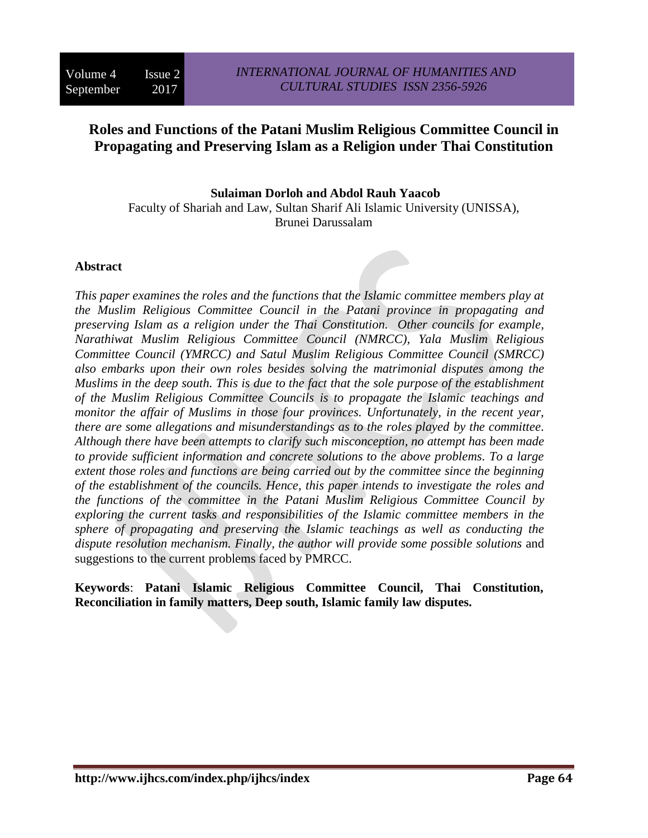# **Roles and Functions of the Patani Muslim Religious Committee Council in Propagating and Preserving Islam as a Religion under Thai Constitution**

**Sulaiman Dorloh and Abdol Rauh Yaacob** Faculty of Shariah and Law, Sultan Sharif Ali Islamic University (UNISSA), Brunei Darussalam

### **Abstract**

*This paper examines the roles and the functions that the Islamic committee members play at the Muslim Religious Committee Council in the Patani province in propagating and preserving Islam as a religion under the Thai Constitution. Other councils for example, Narathiwat Muslim Religious Committee Council (NMRCC), Yala Muslim Religious Committee Council (YMRCC) and Satul Muslim Religious Committee Council (SMRCC) also embarks upon their own roles besides solving the matrimonial disputes among the Muslims in the deep south. This is due to the fact that the sole purpose of the establishment of the Muslim Religious Committee Councils is to propagate the Islamic teachings and monitor the affair of Muslims in those four provinces. Unfortunately, in the recent year, there are some allegations and misunderstandings as to the roles played by the committee. Although there have been attempts to clarify such misconception, no attempt has been made to provide sufficient information and concrete solutions to the above problems. To a large extent those roles and functions are being carried out by the committee since the beginning of the establishment of the councils. Hence, this paper intends to investigate the roles and the functions of the committee in the Patani Muslim Religious Committee Council by exploring the current tasks and responsibilities of the Islamic committee members in the sphere of propagating and preserving the Islamic teachings as well as conducting the dispute resolution mechanism. Finally, the author will provide some possible solutions* and suggestions to the current problems faced by PMRCC.

**Keywords**: **Patani Islamic Religious Committee Council, Thai Constitution, Reconciliation in family matters, Deep south, Islamic family law disputes.**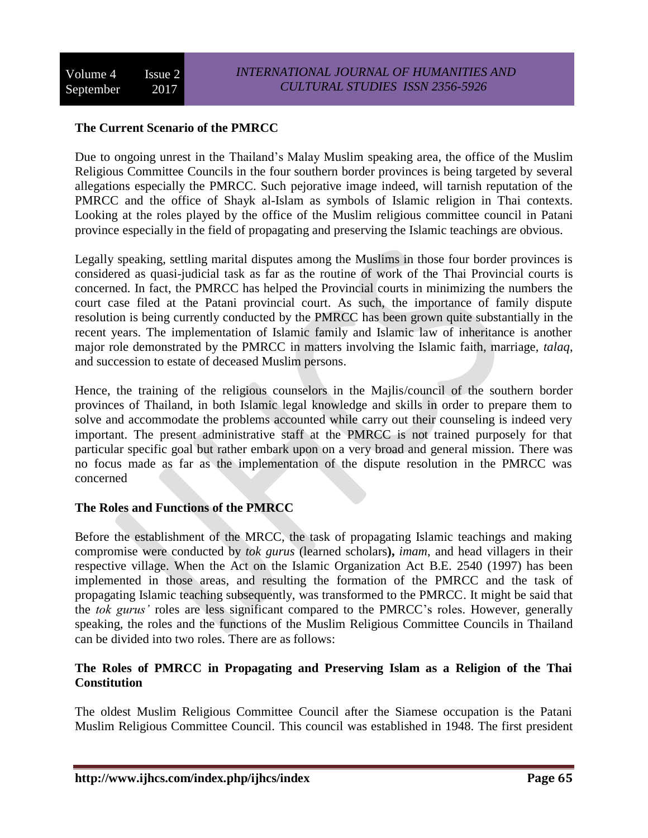# **The Current Scenario of the PMRCC**

Due to ongoing unrest in the Thailand's Malay Muslim speaking area, the office of the Muslim Religious Committee Councils in the four southern border provinces is being targeted by several allegations especially the PMRCC. Such pejorative image indeed, will tarnish reputation of the PMRCC and the office of Shayk al-Islam as symbols of Islamic religion in Thai contexts. Looking at the roles played by the office of the Muslim religious committee council in Patani province especially in the field of propagating and preserving the Islamic teachings are obvious.

Legally speaking, settling marital disputes among the Muslims in those four border provinces is considered as quasi-judicial task as far as the routine of work of the Thai Provincial courts is concerned. In fact, the PMRCC has helped the Provincial courts in minimizing the numbers the court case filed at the Patani provincial court. As such, the importance of family dispute resolution is being currently conducted by the PMRCC has been grown quite substantially in the recent years. The implementation of Islamic family and Islamic law of inheritance is another major role demonstrated by the PMRCC in matters involving the Islamic faith, marriage, *talaq*, and succession to estate of deceased Muslim persons.

Hence, the training of the religious counselors in the Majlis/council of the southern border provinces of Thailand, in both Islamic legal knowledge and skills in order to prepare them to solve and accommodate the problems accounted while carry out their counseling is indeed very important. The present administrative staff at the PMRCC is not trained purposely for that particular specific goal but rather embark upon on a very broad and general mission. There was no focus made as far as the implementation of the dispute resolution in the PMRCC was concerned

# **The Roles and Functions of the PMRCC**

Before the establishment of the MRCC, the task of propagating Islamic teachings and making compromise were conducted by *tok gurus* (learned scholars**),** *imam*, and head villagers in their respective village. When the Act on the Islamic Organization Act B.E. 2540 (1997) has been implemented in those areas, and resulting the formation of the PMRCC and the task of propagating Islamic teaching subsequently, was transformed to the PMRCC. It might be said that the *tok gurus'* roles are less significant compared to the PMRCC's roles. However, generally speaking, the roles and the functions of the Muslim Religious Committee Councils in Thailand can be divided into two roles. There are as follows:

# **The Roles of PMRCC in Propagating and Preserving Islam as a Religion of the Thai Constitution**

The oldest Muslim Religious Committee Council after the Siamese occupation is the Patani Muslim Religious Committee Council. This council was established in 1948. The first president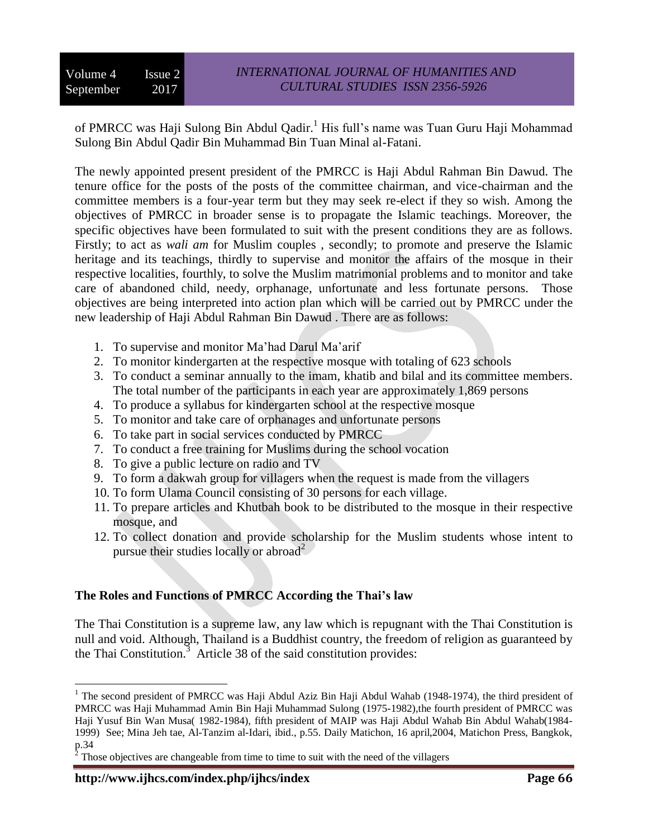of PMRCC was Haji Sulong Bin Abdul Qadir.<sup>1</sup> His full's name was Tuan Guru Haji Mohammad Sulong Bin Abdul Qadir Bin Muhammad Bin Tuan Minal al-Fatani.

The newly appointed present president of the PMRCC is Haji Abdul Rahman Bin Dawud. The tenure office for the posts of the posts of the committee chairman, and vice-chairman and the committee members is a four-year term but they may seek re-elect if they so wish. Among the objectives of PMRCC in broader sense is to propagate the Islamic teachings. Moreover, the specific objectives have been formulated to suit with the present conditions they are as follows. Firstly; to act as *wali am* for Muslim couples , secondly; to promote and preserve the Islamic heritage and its teachings, thirdly to supervise and monitor the affairs of the mosque in their respective localities, fourthly, to solve the Muslim matrimonial problems and to monitor and take care of abandoned child, needy, orphanage, unfortunate and less fortunate persons. Those objectives are being interpreted into action plan which will be carried out by PMRCC under the new leadership of Haji Abdul Rahman Bin Dawud . There are as follows:

- 1. To supervise and monitor Ma'had Darul Ma'arif
- 2. To monitor kindergarten at the respective mosque with totaling of 623 schools
- 3. To conduct a seminar annually to the imam, khatib and bilal and its committee members. The total number of the participants in each year are approximately 1,869 persons
- 4. To produce a syllabus for kindergarten school at the respective mosque
- 5. To monitor and take care of orphanages and unfortunate persons
- 6. To take part in social services conducted by PMRCC
- 7. To conduct a free training for Muslims during the school vocation
- 8. To give a public lecture on radio and TV
- 9. To form a dakwah group for villagers when the request is made from the villagers
- 10. To form Ulama Council consisting of 30 persons for each village.
- 11. To prepare articles and Khutbah book to be distributed to the mosque in their respective mosque, and
- 12. To collect donation and provide scholarship for the Muslim students whose intent to pursue their studies locally or abroad<sup>2</sup>

# **The Roles and Functions of PMRCC According the Thai's law**

The Thai Constitution is a supreme law, any law which is repugnant with the Thai Constitution is null and void. Although, Thailand is a Buddhist country, the freedom of religion as guaranteed by the Thai Constitution. $3$  Article 38 of the said constitution provides:

 $\overline{a}$ 

<sup>&</sup>lt;sup>1</sup> The second president of PMRCC was Haji Abdul Aziz Bin Haji Abdul Wahab (1948-1974), the third president of PMRCC was Haji Muhammad Amin Bin Haji Muhammad Sulong (1975-1982),the fourth president of PMRCC was Haji Yusuf Bin Wan Musa( 1982-1984), fifth president of MAIP was Haji Abdul Wahab Bin Abdul Wahab(1984- 1999) See; Mina Jeh tae, Al-Tanzim al-Idari, ibid., p.55. Daily Matichon, 16 april,2004, Matichon Press, Bangkok, p.34<br><sup>2</sup> Th

Those objectives are changeable from time to time to suit with the need of the villagers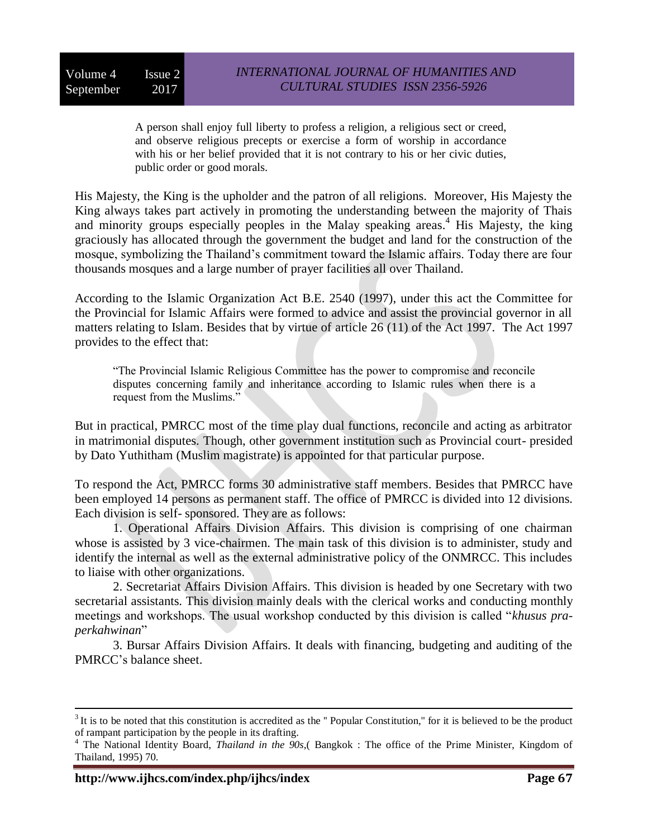A person shall enjoy full liberty to profess a religion, a religious sect or creed, and observe religious precepts or exercise a form of worship in accordance with his or her belief provided that it is not contrary to his or her civic duties, public order or good morals.

His Majesty, the King is the upholder and the patron of all religions. Moreover, His Majesty the King always takes part actively in promoting the understanding between the majority of Thais and minority groups especially peoples in the Malay speaking areas. <sup>4</sup> His Majesty, the king graciously has allocated through the government the budget and land for the construction of the mosque, symbolizing the Thailand's commitment toward the Islamic affairs. Today there are four thousands mosques and a large number of prayer facilities all over Thailand.

According to the Islamic Organization Act B.E. 2540 (1997), under this act the Committee for the Provincial for Islamic Affairs were formed to advice and assist the provincial governor in all matters relating to Islam. Besides that by virtue of article 26 (11) of the Act 1997. The Act 1997 provides to the effect that:

"The Provincial Islamic Religious Committee has the power to compromise and reconcile disputes concerning family and inheritance according to Islamic rules when there is a request from the Muslims."

But in practical, PMRCC most of the time play dual functions, reconcile and acting as arbitrator in matrimonial disputes. Though, other government institution such as Provincial court- presided by Dato Yuthitham (Muslim magistrate) is appointed for that particular purpose.

To respond the Act, PMRCC forms 30 administrative staff members. Besides that PMRCC have been employed 14 persons as permanent staff. The office of PMRCC is divided into 12 divisions. Each division is self- sponsored. They are as follows:

1. Operational Affairs Division Affairs. This division is comprising of one chairman whose is assisted by 3 vice-chairmen. The main task of this division is to administer, study and identify the internal as well as the external administrative policy of the ONMRCC. This includes to liaise with other organizations.

2. Secretariat Affairs Division Affairs. This division is headed by one Secretary with two secretarial assistants. This division mainly deals with the clerical works and conducting monthly meetings and workshops. The usual workshop conducted by this division is called "*khusus praperkahwinan*"

3. Bursar Affairs Division Affairs. It deals with financing, budgeting and auditing of the PMRCC's balance sheet.

<u>.</u>

 $3$  It is to be noted that this constitution is accredited as the "Popular Constitution," for it is believed to be the product of rampant participation by the people in its drafting.

<sup>4</sup> The National Identity Board, *Thailand in the 90s*,( Bangkok : The office of the Prime Minister, Kingdom of Thailand, 1995) 70.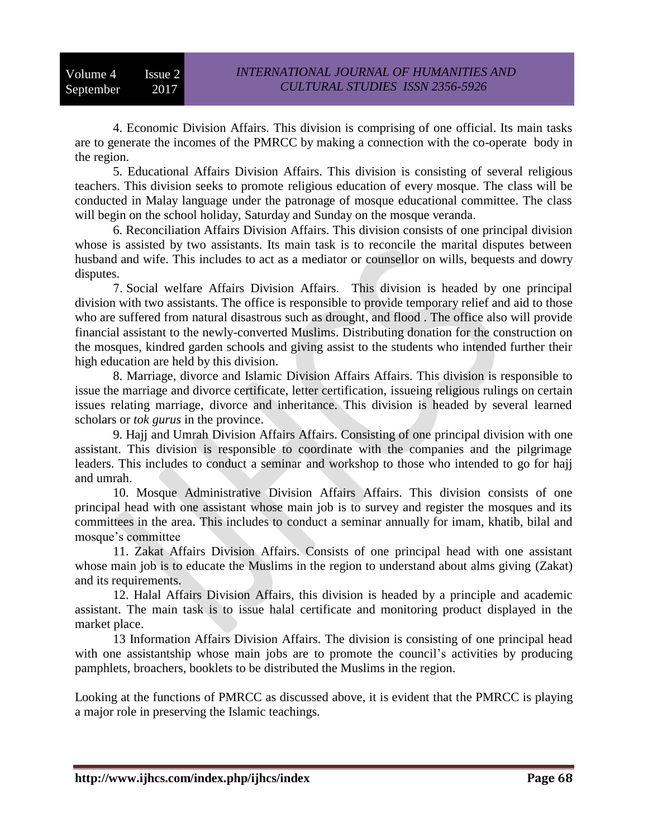4. Economic Division Affairs. This division is comprising of one official. Its main tasks are to generate the incomes of the PMRCC by making a connection with the co-operate body in the region.

5. Educational Affairs Division Affairs. This division is consisting of several religious teachers. This division seeks to promote religious education of every mosque. The class will be conducted in Malay language under the patronage of mosque educational committee. The class will begin on the school holiday, Saturday and Sunday on the mosque veranda.

6. Reconciliation Affairs Division Affairs. This division consists of one principal division whose is assisted by two assistants. Its main task is to reconcile the marital disputes between husband and wife. This includes to act as a mediator or counsellor on wills, bequests and dowry disputes.

7. Social welfare Affairs Division Affairs. This division is headed by one principal division with two assistants. The office is responsible to provide temporary relief and aid to those who are suffered from natural disastrous such as drought, and flood . The office also will provide financial assistant to the newly-converted Muslims. Distributing donation for the construction on the mosques, kindred garden schools and giving assist to the students who intended further their high education are held by this division.

8. Marriage, divorce and Islamic Division Affairs Affairs. This division is responsible to issue the marriage and divorce certificate, letter certification, issueing religious rulings on certain issues relating marriage, divorce and inheritance. This division is headed by several learned scholars or *tok gurus* in the province.

9. Hajj and Umrah Division Affairs Affairs. Consisting of one principal division with one assistant. This division is responsible to coordinate with the companies and the pilgrimage leaders. This includes to conduct a seminar and workshop to those who intended to go for hajj and umrah.

10. Mosque Administrative Division Affairs Affairs. This division consists of one principal head with one assistant whose main job is to survey and register the mosques and its committees in the area. This includes to conduct a seminar annually for imam, khatib, bilal and mosque's committee

11. Zakat Affairs Division Affairs. Consists of one principal head with one assistant whose main job is to educate the Muslims in the region to understand about alms giving (Zakat) and its requirements.

12. Halal Affairs Division Affairs, this division is headed by a principle and academic assistant. The main task is to issue halal certificate and monitoring product displayed in the market place.

13 Information Affairs Division Affairs. The division is consisting of one principal head with one assistantship whose main jobs are to promote the council's activities by producing pamphlets, broachers, booklets to be distributed the Muslims in the region.

Looking at the functions of PMRCC as discussed above, it is evident that the PMRCC is playing a major role in preserving the Islamic teachings.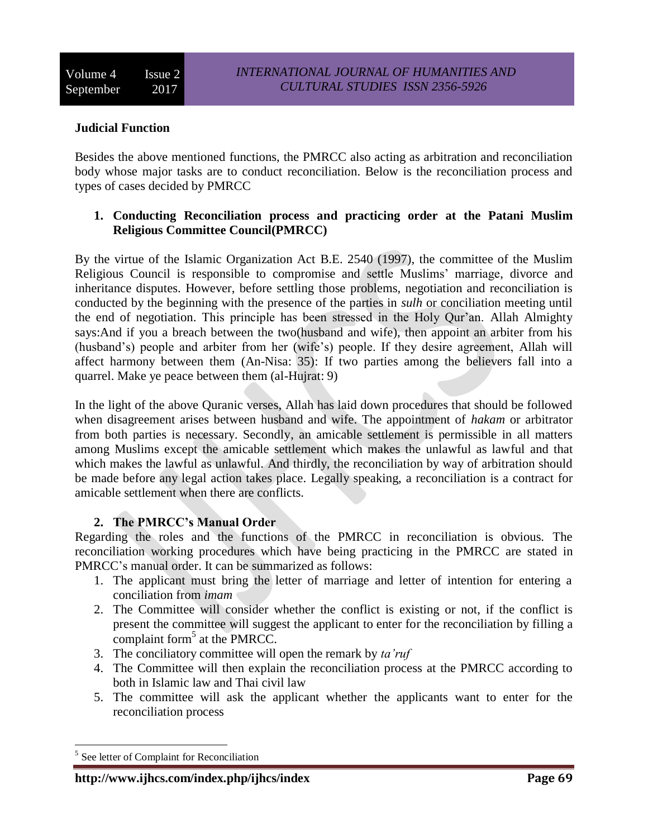# **Judicial Function**

Besides the above mentioned functions, the PMRCC also acting as arbitration and reconciliation body whose major tasks are to conduct reconciliation. Below is the reconciliation process and types of cases decided by PMRCC

# **1. Conducting Reconciliation process and practicing order at the Patani Muslim Religious Committee Council(PMRCC)**

By the virtue of the Islamic Organization Act B.E. 2540 (1997), the committee of the Muslim Religious Council is responsible to compromise and settle Muslims' marriage, divorce and inheritance disputes. However, before settling those problems, negotiation and reconciliation is conducted by the beginning with the presence of the parties in *sulh* or conciliation meeting until the end of negotiation. This principle has been stressed in the Holy Qur'an. Allah Almighty says:And if you a breach between the two(husband and wife), then appoint an arbiter from his (husband's) people and arbiter from her (wife's) people. If they desire agreement, Allah will affect harmony between them (An-Nisa: 35): If two parties among the believers fall into a quarrel. Make ye peace between them (al-Hujrat: 9)

In the light of the above Quranic verses, Allah has laid down procedures that should be followed when disagreement arises between husband and wife. The appointment of *hakam* or arbitrator from both parties is necessary. Secondly, an amicable settlement is permissible in all matters among Muslims except the amicable settlement which makes the unlawful as lawful and that which makes the lawful as unlawful. And thirdly, the reconciliation by way of arbitration should be made before any legal action takes place. Legally speaking, a reconciliation is a contract for amicable settlement when there are conflicts.

# **2. The PMRCC's Manual Order**

Regarding the roles and the functions of the PMRCC in reconciliation is obvious. The reconciliation working procedures which have being practicing in the PMRCC are stated in PMRCC's manual order. It can be summarized as follows:

- 1. The applicant must bring the letter of marriage and letter of intention for entering a conciliation from *imam*
- 2. The Committee will consider whether the conflict is existing or not, if the conflict is present the committee will suggest the applicant to enter for the reconciliation by filling a complaint form<sup>5</sup> at the PMRCC.
- 3. The conciliatory committee will open the remark by *ta'ruf*
- 4. The Committee will then explain the reconciliation process at the PMRCC according to both in Islamic law and Thai civil law
- 5. The committee will ask the applicant whether the applicants want to enter for the reconciliation process

 $\overline{a}$ <sup>5</sup> See letter of Complaint for Reconciliation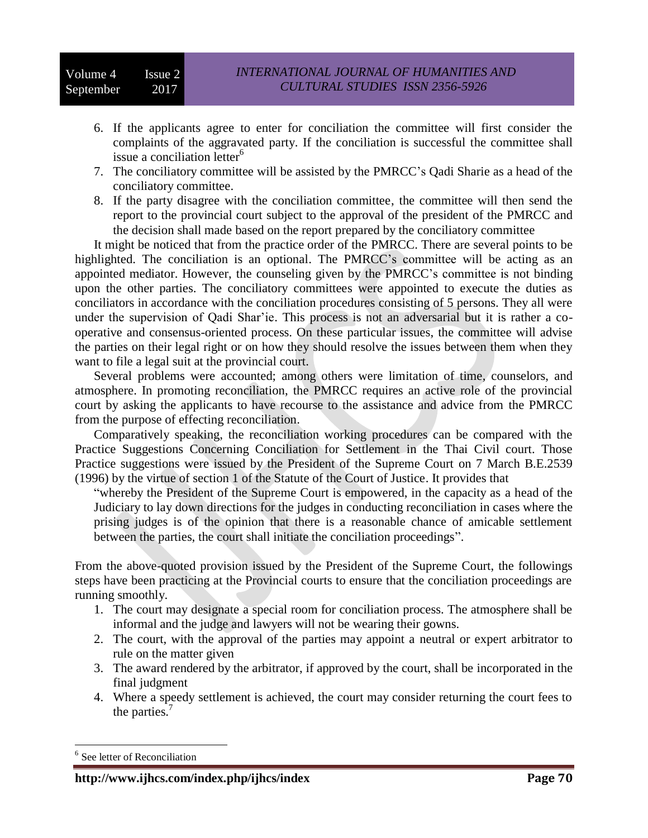- 6. If the applicants agree to enter for conciliation the committee will first consider the complaints of the aggravated party. If the conciliation is successful the committee shall issue a conciliation letter<sup>6</sup>
- 7. The conciliatory committee will be assisted by the PMRCC's Qadi Sharie as a head of the conciliatory committee.
- 8. If the party disagree with the conciliation committee, the committee will then send the report to the provincial court subject to the approval of the president of the PMRCC and the decision shall made based on the report prepared by the conciliatory committee

It might be noticed that from the practice order of the PMRCC. There are several points to be highlighted. The conciliation is an optional. The PMRCC's committee will be acting as an appointed mediator. However, the counseling given by the PMRCC's committee is not binding upon the other parties. The conciliatory committees were appointed to execute the duties as conciliators in accordance with the conciliation procedures consisting of 5 persons. They all were under the supervision of Qadi Shar'ie. This process is not an adversarial but it is rather a cooperative and consensus-oriented process. On these particular issues, the committee will advise the parties on their legal right or on how they should resolve the issues between them when they want to file a legal suit at the provincial court.

Several problems were accounted; among others were limitation of time, counselors, and atmosphere. In promoting reconciliation, the PMRCC requires an active role of the provincial court by asking the applicants to have recourse to the assistance and advice from the PMRCC from the purpose of effecting reconciliation.

Comparatively speaking, the reconciliation working procedures can be compared with the Practice Suggestions Concerning Conciliation for Settlement in the Thai Civil court. Those Practice suggestions were issued by the President of the Supreme Court on 7 March B.E.2539 (1996) by the virtue of section 1 of the Statute of the Court of Justice. It provides that

"whereby the President of the Supreme Court is empowered, in the capacity as a head of the Judiciary to lay down directions for the judges in conducting reconciliation in cases where the prising judges is of the opinion that there is a reasonable chance of amicable settlement between the parties, the court shall initiate the conciliation proceedings".

From the above-quoted provision issued by the President of the Supreme Court, the followings steps have been practicing at the Provincial courts to ensure that the conciliation proceedings are running smoothly.

- 1. The court may designate a special room for conciliation process. The atmosphere shall be informal and the judge and lawyers will not be wearing their gowns.
- 2. The court, with the approval of the parties may appoint a neutral or expert arbitrator to rule on the matter given
- 3. The award rendered by the arbitrator, if approved by the court, shall be incorporated in the final judgment
- 4. Where a speedy settlement is achieved, the court may consider returning the court fees to the parties.<sup>7</sup>

 $\overline{a}$ 

<sup>&</sup>lt;sup>6</sup> See letter of Reconciliation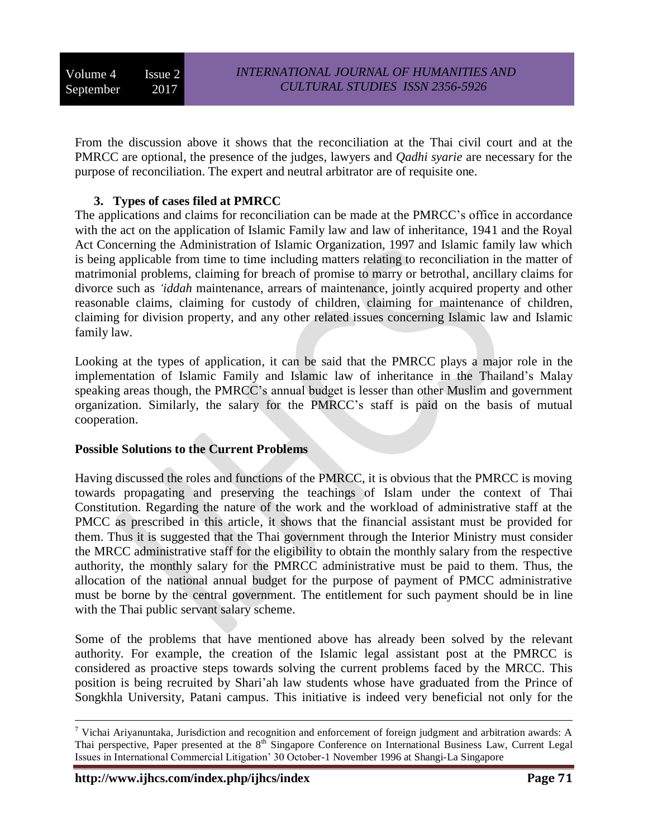Volume 4 Issue 2 September 2017

From the discussion above it shows that the reconciliation at the Thai civil court and at the PMRCC are optional, the presence of the judges, lawyers and *Qadhi syarie* are necessary for the purpose of reconciliation. The expert and neutral arbitrator are of requisite one.

# **3. Types of cases filed at PMRCC**

The applications and claims for reconciliation can be made at the PMRCC's office in accordance with the act on the application of Islamic Family law and law of inheritance, 1941 and the Royal Act Concerning the Administration of Islamic Organization, 1997 and Islamic family law which is being applicable from time to time including matters relating to reconciliation in the matter of matrimonial problems, claiming for breach of promise to marry or betrothal, ancillary claims for divorce such as *'iddah* maintenance, arrears of maintenance, jointly acquired property and other reasonable claims, claiming for custody of children, claiming for maintenance of children, claiming for division property, and any other related issues concerning Islamic law and Islamic family law.

Looking at the types of application, it can be said that the PMRCC plays a major role in the implementation of Islamic Family and Islamic law of inheritance in the Thailand's Malay speaking areas though, the PMRCC's annual budget is lesser than other Muslim and government organization. Similarly, the salary for the PMRCC's staff is paid on the basis of mutual cooperation.

# **Possible Solutions to the Current Problems**

Having discussed the roles and functions of the PMRCC, it is obvious that the PMRCC is moving towards propagating and preserving the teachings of Islam under the context of Thai Constitution. Regarding the nature of the work and the workload of administrative staff at the PMCC as prescribed in this article, it shows that the financial assistant must be provided for them. Thus it is suggested that the Thai government through the Interior Ministry must consider the MRCC administrative staff for the eligibility to obtain the monthly salary from the respective authority, the monthly salary for the PMRCC administrative must be paid to them. Thus, the allocation of the national annual budget for the purpose of payment of PMCC administrative must be borne by the central government. The entitlement for such payment should be in line with the Thai public servant salary scheme.

Some of the problems that have mentioned above has already been solved by the relevant authority. For example, the creation of the Islamic legal assistant post at the PMRCC is considered as proactive steps towards solving the current problems faced by the MRCC. This position is being recruited by Shari'ah law students whose have graduated from the Prince of Songkhla University, Patani campus. This initiative is indeed very beneficial not only for the

1

 $7$  Vichai Ariyanuntaka, Jurisdiction and recognition and enforcement of foreign judgment and arbitration awards: A Thai perspective, Paper presented at the 8<sup>th</sup> Singapore Conference on International Business Law, Current Legal Issues in International Commercial Litigation' 30 October-1 November 1996 at Shangi-La Singapore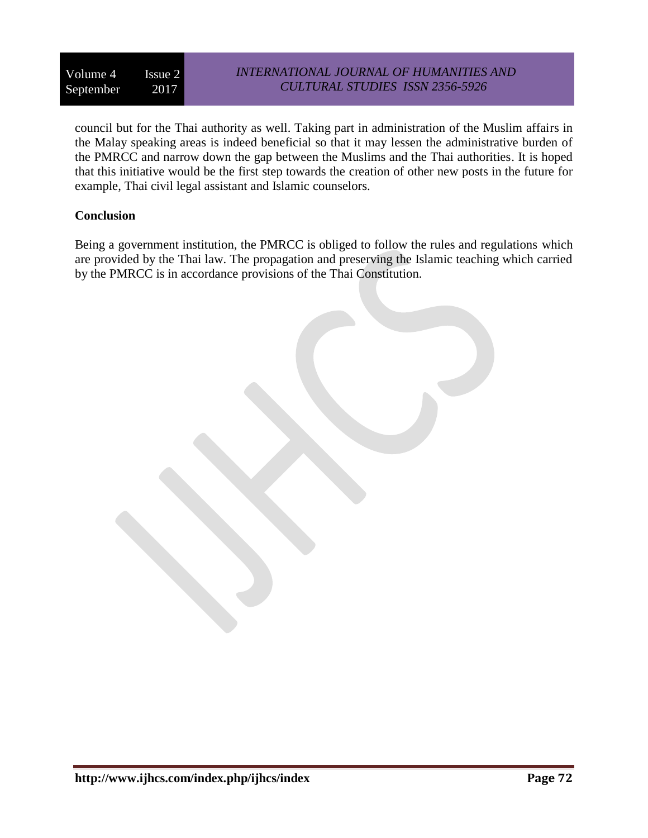## *INTERNATIONAL JOURNAL OF HUMANITIES AND CULTURAL STUDIES ISSN 2356-5926*

council but for the Thai authority as well. Taking part in administration of the Muslim affairs in the Malay speaking areas is indeed beneficial so that it may lessen the administrative burden of the PMRCC and narrow down the gap between the Muslims and the Thai authorities. It is hoped that this initiative would be the first step towards the creation of other new posts in the future for example, Thai civil legal assistant and Islamic counselors.

### **Conclusion**

Being a government institution, the PMRCC is obliged to follow the rules and regulations which are provided by the Thai law. The propagation and preserving the Islamic teaching which carried by the PMRCC is in accordance provisions of the Thai Constitution.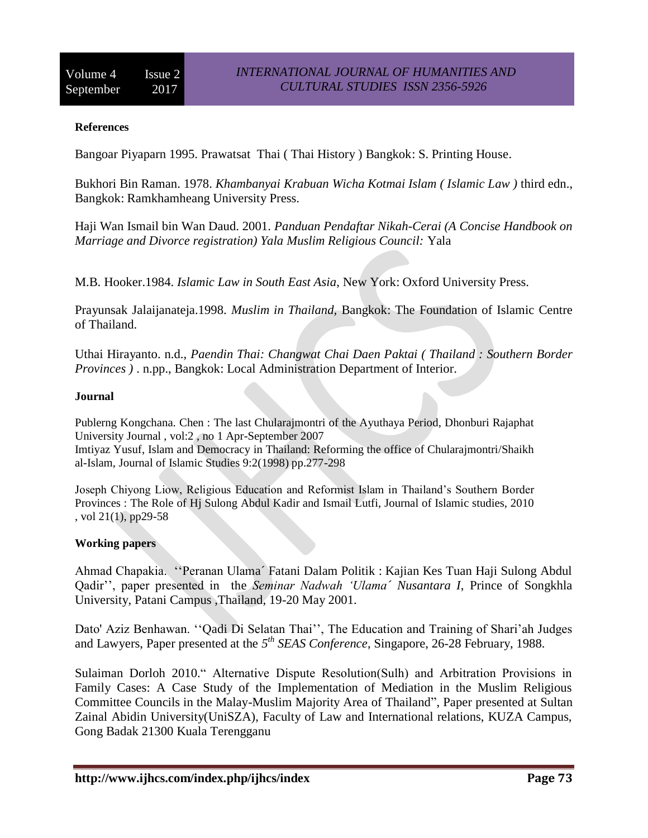### **References**

Bangoar Piyaparn 1995. Prawatsat Thai ( Thai History ) Bangkok: S. Printing House.

Bukhori Bin Raman. 1978. *Khambanyai Krabuan Wicha Kotmai Islam ( Islamic Law )* third edn., Bangkok: Ramkhamheang University Press.

Haji Wan Ismail bin Wan Daud. 2001. *Panduan Pendaftar Nikah-Cerai (A Concise Handbook on Marriage and Divorce registration) Yala Muslim Religious Council:* Yala

M.B. Hooker.1984. *Islamic Law in South East Asia*, New York: Oxford University Press.

Prayunsak Jalaijanateja.1998. *Muslim in Thailand,* Bangkok: The Foundation of Islamic Centre of Thailand.

Uthai Hirayanto. n.d., *Paendin Thai: Changwat Chai Daen Paktai ( Thailand : Southern Border Provinces )* . n.pp., Bangkok: Local Administration Department of Interior.

### **Journal**

Publerng Kongchana. Chen : The last Chularajmontri of the Ayuthaya Period, Dhonburi Rajaphat University Journal , vol:2 , no 1 Apr-September 2007 Imtiyaz Yusuf, Islam and Democracy in Thailand: Reforming the office of Chularajmontri/Shaikh al-Islam, Journal of Islamic Studies 9:2(1998) pp.277-298

Joseph Chiyong Liow, Religious Education and Reformist Islam in Thailand's Southern Border Provinces : The Role of Hj Sulong Abdul Kadir and Ismail Lutfi, Journal of Islamic studies, 2010 , vol 21(1), pp29-58

### **Working papers**

Ahmad Chapakia. ''Peranan Ulama´ Fatani Dalam Politik : Kajian Kes Tuan Haji Sulong Abdul Qadir'', paper presented in the *Seminar Nadwah 'Ulama´ Nusantara I*, Prince of Songkhla University, Patani Campus ,Thailand, 19-20 May 2001.

Dato' Aziz Benhawan. ''Qadi Di Selatan Thai'', The Education and Training of Shari'ah Judges and Lawyers, Paper presented at the 5<sup>th</sup> SEAS Conference, Singapore, 26-28 February, 1988.

Sulaiman Dorloh 2010." Alternative Dispute Resolution(Sulh) and Arbitration Provisions in Family Cases: A Case Study of the Implementation of Mediation in the Muslim Religious Committee Councils in the Malay-Muslim Majority Area of Thailand", Paper presented at Sultan Zainal Abidin University(UniSZA), Faculty of Law and International relations, KUZA Campus, Gong Badak 21300 Kuala Terengganu